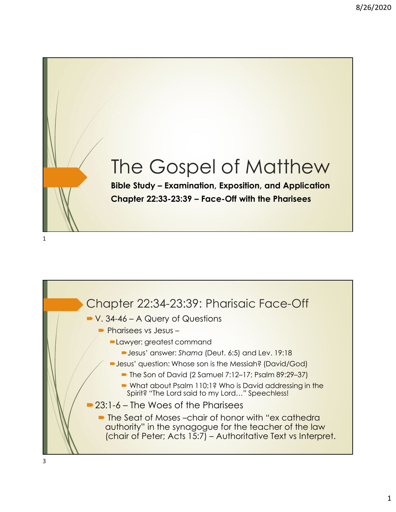